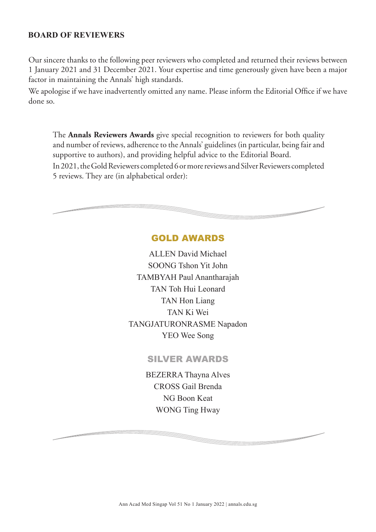## **BOARD OF REVIEWERS**

Our sincere thanks to the following peer reviewers who completed and returned their reviews between 1 January 2021 and 31 December 2021. Your expertise and time generously given have been a major factor in maintaining the Annals' high standards.

We apologise if we have inadvertently omitted any name. Please inform the Editorial Office if we have done so.

The **Annals Reviewers Awards** give special recognition to reviewers for both quality and number of reviews, adherence to the Annals' guidelines (in particular, being fair and supportive to authors), and providing helpful advice to the Editorial Board. In 2021, the Gold Reviewers completed 6 or more reviews and Silver Reviewers completed 5 reviews. They are (in alphabetical order):

## GOLD AWARDS

ALLEN David Michael SOONG Tshon Yit John TAMBYAH Paul Anantharajah TAN Toh Hui Leonard TAN Hon Liang TAN Ki Wei TANGJATURONRASME Napadon YEO Wee Song

## SILVER AWARDS

BEZERRA Thayna Alves CROSS Gail Brenda NG Boon Keat WONG Ting Hway